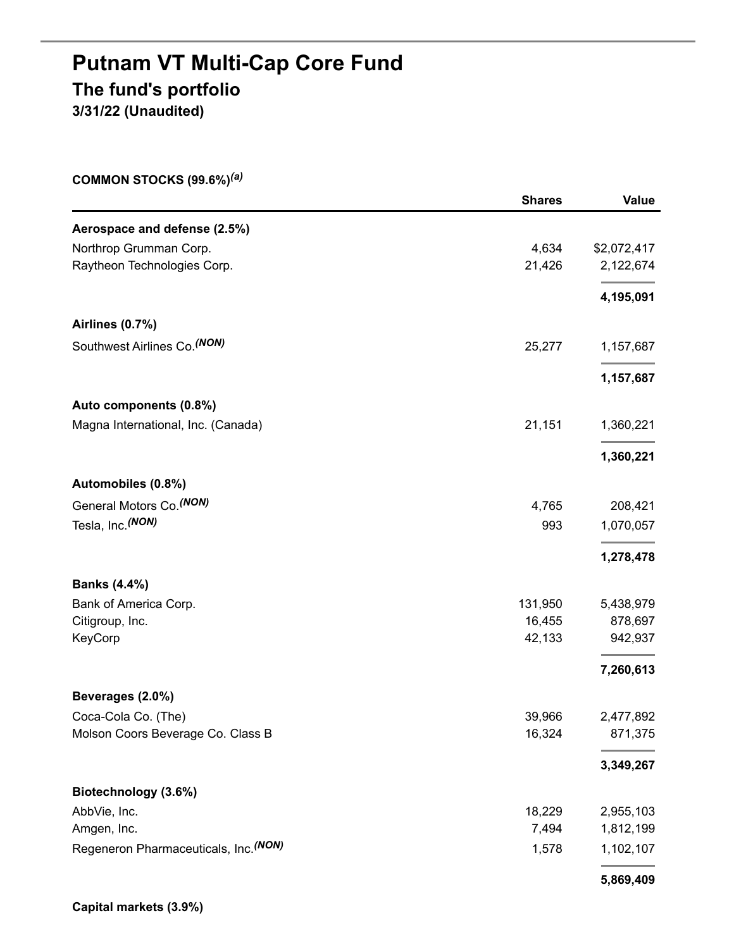## **Putnam VT Multi-Cap Core Fund The fund's portfolio 3/31/22 (Unaudited)**

**COMMON STOCKS (99.6%)** *(a)*

|                                       | <b>Shares</b> | <b>Value</b> |
|---------------------------------------|---------------|--------------|
| Aerospace and defense (2.5%)          |               |              |
| Northrop Grumman Corp.                | 4,634         | \$2,072,417  |
| Raytheon Technologies Corp.           | 21,426        | 2,122,674    |
|                                       |               | 4,195,091    |
| Airlines (0.7%)                       |               |              |
| Southwest Airlines Co. (NON)          | 25,277        | 1,157,687    |
|                                       |               | 1,157,687    |
| Auto components (0.8%)                |               |              |
| Magna International, Inc. (Canada)    | 21,151        | 1,360,221    |
|                                       |               | 1,360,221    |
| Automobiles (0.8%)                    |               |              |
| General Motors Co. (NON)              | 4,765         | 208,421      |
| Tesla, Inc. (NON)                     | 993           | 1,070,057    |
|                                       |               | 1,278,478    |
| <b>Banks (4.4%)</b>                   |               |              |
| Bank of America Corp.                 | 131,950       | 5,438,979    |
| Citigroup, Inc.                       | 16,455        | 878,697      |
| KeyCorp                               | 42,133        | 942,937      |
|                                       |               | 7,260,613    |
| Beverages (2.0%)                      |               |              |
| Coca-Cola Co. (The)                   | 39,966        | 2,477,892    |
| Molson Coors Beverage Co. Class B     | 16,324        | 871,375      |
|                                       |               | 3,349,267    |
| Biotechnology (3.6%)                  |               |              |
| AbbVie, Inc.                          | 18,229        | 2,955,103    |
| Amgen, Inc.                           | 7,494         | 1,812,199    |
| Regeneron Pharmaceuticals, Inc. (NON) | 1,578         | 1,102,107    |
|                                       |               | 5,869,409    |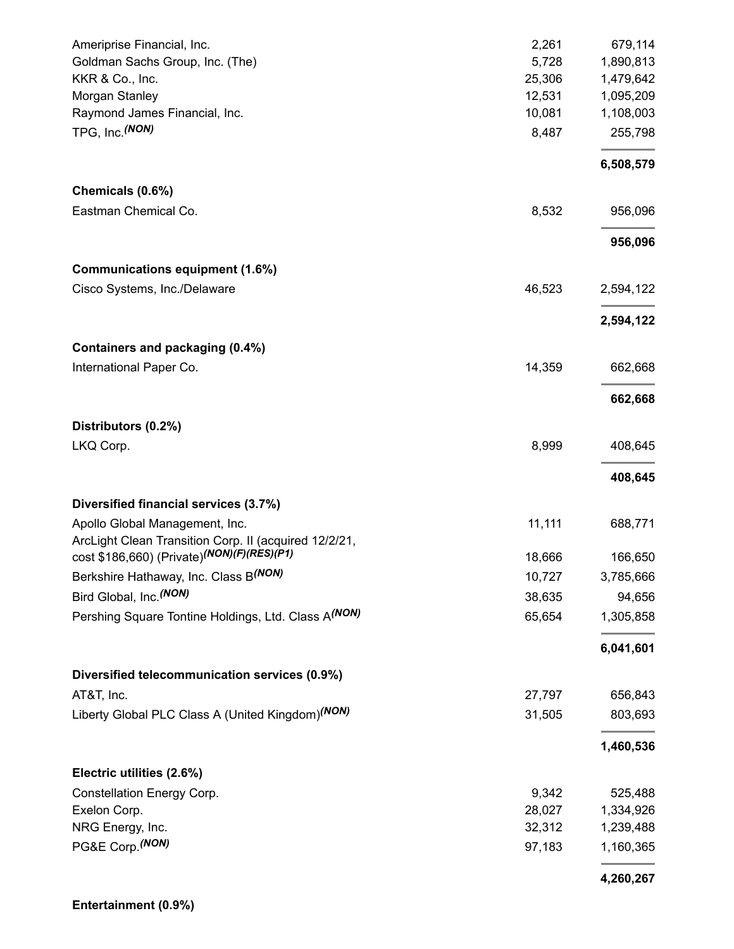| Ameriprise Financial, Inc.                                   | 2,261  | 679,114   |
|--------------------------------------------------------------|--------|-----------|
| Goldman Sachs Group, Inc. (The)                              | 5,728  | 1,890,813 |
| KKR & Co., Inc.                                              | 25,306 | 1,479,642 |
| Morgan Stanley                                               | 12,531 | 1,095,209 |
| Raymond James Financial, Inc.                                | 10,081 | 1,108,003 |
| TPG, Inc. (NON)                                              | 8,487  | 255,798   |
|                                                              |        | 6,508,579 |
| Chemicals (0.6%)                                             |        |           |
| Eastman Chemical Co.                                         | 8,532  | 956,096   |
|                                                              |        | 956,096   |
| Communications equipment (1.6%)                              |        |           |
| Cisco Systems, Inc./Delaware                                 | 46,523 | 2,594,122 |
|                                                              |        | 2,594,122 |
| Containers and packaging (0.4%)                              |        |           |
| International Paper Co.                                      | 14,359 | 662,668   |
|                                                              |        | 662,668   |
| Distributors (0.2%)                                          |        |           |
| LKQ Corp.                                                    | 8,999  | 408,645   |
|                                                              |        | 408,645   |
| Diversified financial services (3.7%)                        |        |           |
| Apollo Global Management, Inc.                               | 11,111 | 688,771   |
| ArcLight Clean Transition Corp. II (acquired 12/2/21,        |        |           |
| cost \$186,660) (Private) <sup>(NON)</sup> (F)(RES)(P1)      | 18,666 | 166,650   |
| Berkshire Hathaway, Inc. Class B(NON)                        | 10,727 | 3,785,666 |
| Bird Global, Inc. <sup>(NON)</sup>                           | 38,635 | 94,656    |
| Pershing Square Tontine Holdings, Ltd. Class A(NON)          | 65,654 | 1,305,858 |
|                                                              |        | 6,041,601 |
| Diversified telecommunication services (0.9%)                |        |           |
| AT&T, Inc.                                                   | 27,797 | 656,843   |
| Liberty Global PLC Class A (United Kingdom) <sup>(NON)</sup> | 31,505 | 803,693   |
|                                                              |        | 1,460,536 |
| Electric utilities (2.6%)                                    |        |           |
| Constellation Energy Corp.                                   | 9,342  | 525,488   |
| Exelon Corp.                                                 | 28,027 | 1,334,926 |
| NRG Energy, Inc.                                             | 32,312 | 1,239,488 |
| PG&E Corp. (NON)                                             | 97,183 | 1,160,365 |
|                                                              |        | 4,260,267 |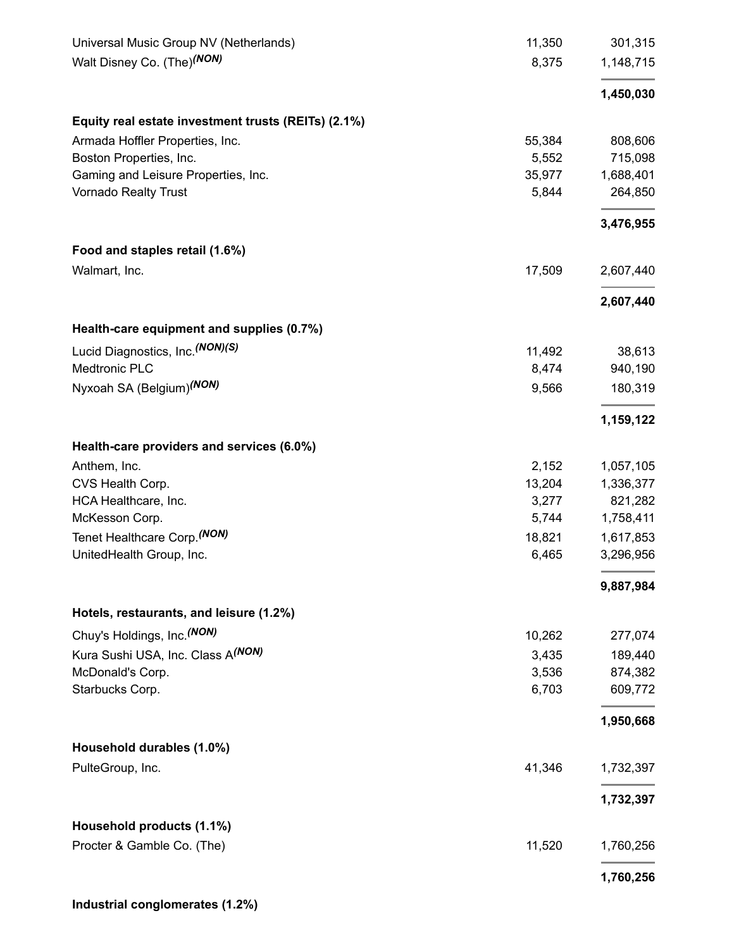| Universal Music Group NV (Netherlands)              | 11,350 | 301,315   |
|-----------------------------------------------------|--------|-----------|
| Walt Disney Co. (The) <sup>(NON)</sup>              | 8,375  | 1,148,715 |
|                                                     |        | 1,450,030 |
| Equity real estate investment trusts (REITs) (2.1%) |        |           |
| Armada Hoffler Properties, Inc.                     | 55,384 | 808,606   |
| Boston Properties, Inc.                             | 5,552  | 715,098   |
| Gaming and Leisure Properties, Inc.                 | 35,977 | 1,688,401 |
| <b>Vornado Realty Trust</b>                         | 5,844  | 264,850   |
|                                                     |        | 3,476,955 |
| Food and staples retail (1.6%)                      |        |           |
| Walmart, Inc.                                       | 17,509 | 2,607,440 |
|                                                     |        | 2,607,440 |
| Health-care equipment and supplies (0.7%)           |        |           |
| Lucid Diagnostics, Inc. (NON)(S)                    | 11,492 | 38,613    |
| Medtronic PLC                                       | 8,474  | 940,190   |
| Nyxoah SA (Belgium) <sup>(NON)</sup>                | 9,566  | 180,319   |
|                                                     |        | 1,159,122 |
| Health-care providers and services (6.0%)           |        |           |
| Anthem, Inc.                                        | 2,152  | 1,057,105 |
| CVS Health Corp.                                    | 13,204 | 1,336,377 |
| HCA Healthcare, Inc.                                | 3,277  | 821,282   |
| McKesson Corp.                                      | 5,744  | 1,758,411 |
| Tenet Healthcare Corp. <sup>(NON)</sup>             | 18,821 | 1,617,853 |
| UnitedHealth Group, Inc.                            | 6,465  | 3,296,956 |
|                                                     |        | 9,887,984 |
| Hotels, restaurants, and leisure (1.2%)             |        |           |
| Chuy's Holdings, Inc. (NON)                         | 10,262 | 277,074   |
| Kura Sushi USA, Inc. Class A <sup>(NON)</sup>       | 3,435  | 189,440   |
| McDonald's Corp.                                    | 3,536  | 874,382   |
| Starbucks Corp.                                     | 6,703  | 609,772   |
|                                                     |        | 1,950,668 |
| Household durables (1.0%)                           |        |           |
| PulteGroup, Inc.                                    | 41,346 | 1,732,397 |
|                                                     |        | 1,732,397 |
| Household products (1.1%)                           |        |           |
| Procter & Gamble Co. (The)                          | 11,520 | 1,760,256 |
|                                                     |        | 1,760,256 |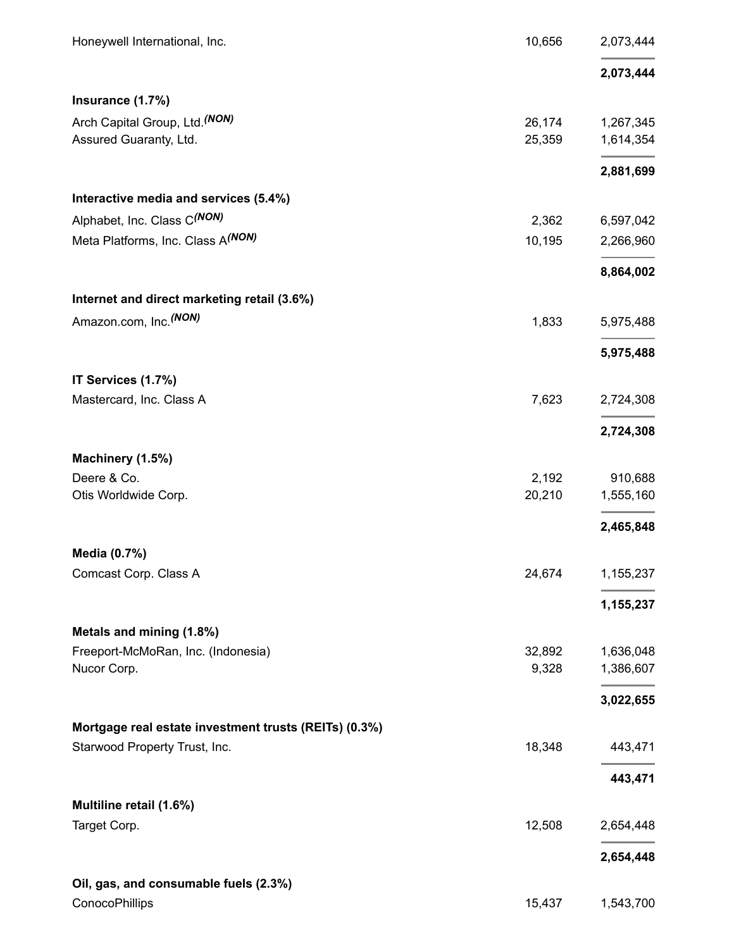| Honeywell International, Inc.                         | 10,656 | 2,073,444 |
|-------------------------------------------------------|--------|-----------|
|                                                       |        | 2,073,444 |
| Insurance (1.7%)                                      |        |           |
| Arch Capital Group, Ltd. (NON)                        | 26,174 | 1,267,345 |
| Assured Guaranty, Ltd.                                | 25,359 | 1,614,354 |
|                                                       |        | 2,881,699 |
| Interactive media and services (5.4%)                 |        |           |
| Alphabet, Inc. Class C(NON)                           | 2,362  | 6,597,042 |
| Meta Platforms, Inc. Class A(NON)                     | 10,195 | 2,266,960 |
|                                                       |        | 8,864,002 |
| Internet and direct marketing retail (3.6%)           |        |           |
| Amazon.com, Inc. <sup>(NON)</sup>                     | 1,833  | 5,975,488 |
|                                                       |        | 5,975,488 |
| IT Services (1.7%)                                    |        |           |
| Mastercard, Inc. Class A                              | 7,623  | 2,724,308 |
|                                                       |        | 2,724,308 |
| Machinery (1.5%)                                      |        |           |
| Deere & Co.                                           | 2,192  | 910,688   |
| Otis Worldwide Corp.                                  | 20,210 | 1,555,160 |
|                                                       |        | 2,465,848 |
| Media (0.7%)                                          |        |           |
| Comcast Corp. Class A                                 | 24,674 | 1,155,237 |
|                                                       |        | 1,155,237 |
| Metals and mining (1.8%)                              |        |           |
| Freeport-McMoRan, Inc. (Indonesia)                    | 32,892 | 1,636,048 |
| Nucor Corp.                                           | 9,328  | 1,386,607 |
|                                                       |        | 3,022,655 |
| Mortgage real estate investment trusts (REITs) (0.3%) |        |           |
| Starwood Property Trust, Inc.                         | 18,348 | 443,471   |
|                                                       |        | 443,471   |
| Multiline retail (1.6%)                               |        |           |
| Target Corp.                                          | 12,508 | 2,654,448 |
|                                                       |        | 2,654,448 |
| Oil, gas, and consumable fuels (2.3%)                 |        |           |
| ConocoPhillips                                        | 15,437 | 1,543,700 |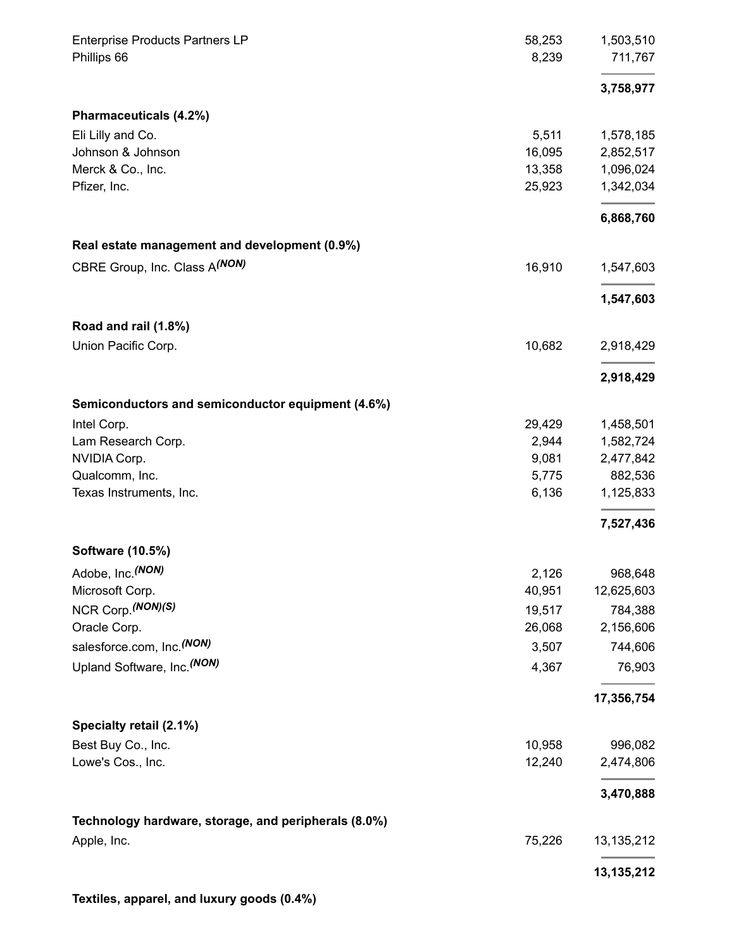| <b>Enterprise Products Partners LP</b><br>Phillips 66 | 58,253<br>8,239 | 1,503,510<br>711,767 |
|-------------------------------------------------------|-----------------|----------------------|
|                                                       |                 | 3,758,977            |
| Pharmaceuticals (4.2%)                                |                 |                      |
| Eli Lilly and Co.                                     | 5,511           | 1,578,185            |
| Johnson & Johnson                                     | 16,095          | 2,852,517            |
| Merck & Co., Inc.                                     | 13,358          | 1,096,024            |
| Pfizer, Inc.                                          | 25,923          | 1,342,034            |
|                                                       |                 | 6,868,760            |
| Real estate management and development (0.9%)         |                 |                      |
| CBRE Group, Inc. Class A(NON)                         | 16,910          | 1,547,603            |
|                                                       |                 | 1,547,603            |
| Road and rail (1.8%)                                  |                 |                      |
| Union Pacific Corp.                                   | 10,682          | 2,918,429            |
|                                                       |                 | 2,918,429            |
| Semiconductors and semiconductor equipment (4.6%)     |                 |                      |
| Intel Corp.                                           | 29,429          | 1,458,501            |
| Lam Research Corp.                                    | 2,944           | 1,582,724            |
| NVIDIA Corp.                                          | 9,081           | 2,477,842            |
| Qualcomm, Inc.                                        | 5,775           | 882,536              |
| Texas Instruments, Inc.                               | 6,136           | 1,125,833            |
|                                                       |                 | 7,527,436            |
| <b>Software (10.5%)</b>                               |                 |                      |
| Adobe, Inc. (NON)                                     | 2,126           | 968,648              |
| Microsoft Corp.                                       | 40,951          | 12,625,603           |
| NCR Corp. (NON)(S)                                    | 19,517          | 784,388              |
| Oracle Corp.                                          | 26,068          | 2,156,606            |
| salesforce.com, Inc. <sup>(NON)</sup>                 | 3,507           | 744,606              |
| Upland Software, Inc. (NON)                           | 4,367           | 76,903               |
|                                                       |                 | 17,356,754           |
| Specialty retail (2.1%)                               |                 |                      |
| Best Buy Co., Inc.                                    | 10,958          | 996,082              |
| Lowe's Cos., Inc.                                     | 12,240          | 2,474,806            |
|                                                       |                 | 3,470,888            |
| Technology hardware, storage, and peripherals (8.0%)  |                 |                      |
| Apple, Inc.                                           | 75,226          | 13, 135, 212         |
|                                                       |                 | 13,135,212           |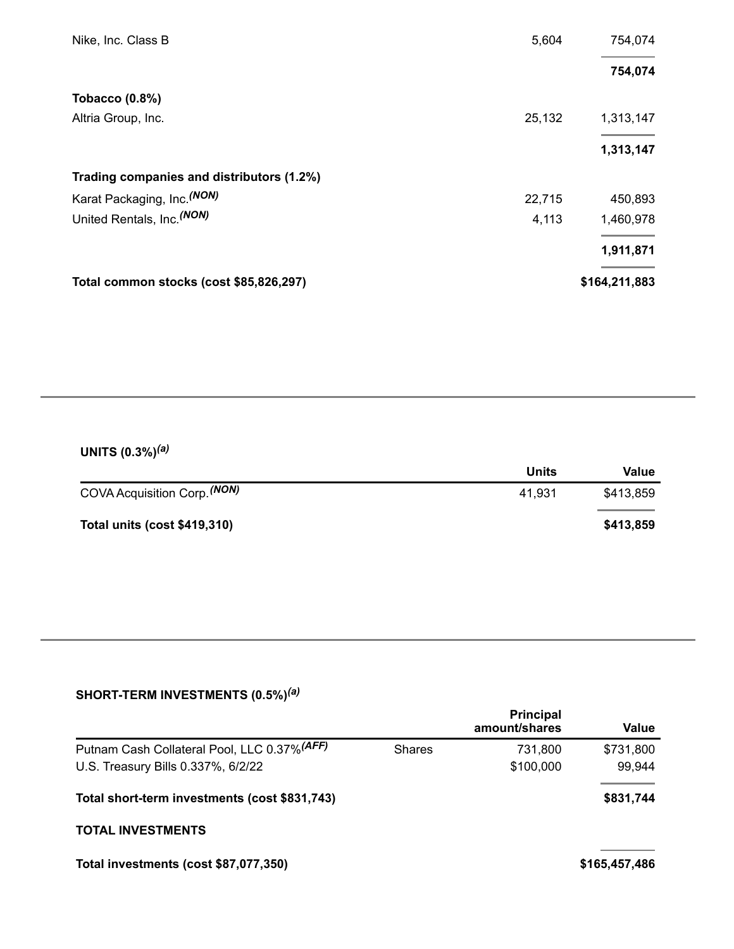| Nike, Inc. Class B                        | 5,604  | 754,074       |
|-------------------------------------------|--------|---------------|
|                                           |        | 754,074       |
| <b>Tobacco (0.8%)</b>                     |        |               |
| Altria Group, Inc.                        | 25,132 | 1,313,147     |
|                                           |        | 1,313,147     |
| Trading companies and distributors (1.2%) |        |               |
| Karat Packaging, Inc. (NON)               | 22,715 | 450,893       |
| United Rentals, Inc. (NON)                | 4,113  | 1,460,978     |
|                                           |        | 1,911,871     |
| Total common stocks (cost \$85,826,297)   |        | \$164,211,883 |

#### **UNITS (0.3%)** *(a)*

|                              | Units  | Value     |
|------------------------------|--------|-----------|
| COVA Acquisition Corp. (NON) | 41.931 | \$413,859 |
| Total units (cost \$419,310) |        | \$413,859 |

#### **SHORT-TERM INVESTMENTS (0.5%)** *(a)*

|                                                                                    |               | <b>Principal</b><br>amount/shares | Value               |
|------------------------------------------------------------------------------------|---------------|-----------------------------------|---------------------|
| Putnam Cash Collateral Pool, LLC 0.37% (AFF)<br>U.S. Treasury Bills 0.337%, 6/2/22 | <b>Shares</b> | 731,800<br>\$100,000              | \$731,800<br>99,944 |
| Total short-term investments (cost \$831,743)                                      |               |                                   | \$831,744           |
| <b>TOTAL INVESTMENTS</b>                                                           |               |                                   |                     |
| Total investments (cost \$87,077,350)                                              |               |                                   | \$165,457,486       |
|                                                                                    |               |                                   |                     |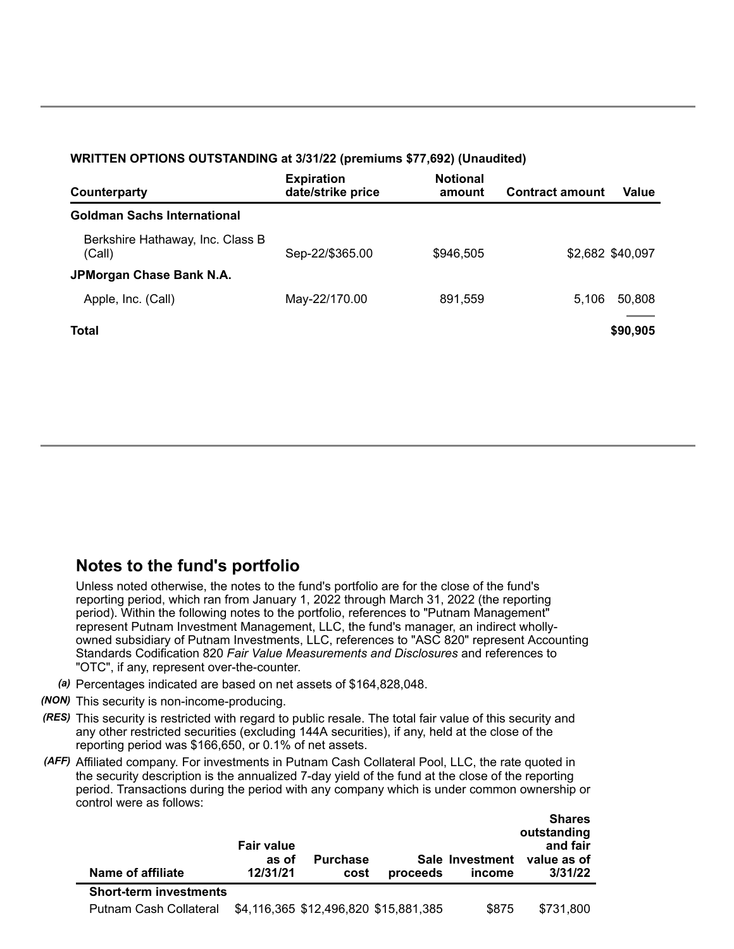#### **WRITTEN OPTIONS OUTSTANDING at 3/31/22 (premiums \$77,692) (Unaudited)**

| Counterparty                               | <b>Expiration</b><br>date/strike price | <b>Notional</b><br>amount | <b>Contract amount</b> | Value             |
|--------------------------------------------|----------------------------------------|---------------------------|------------------------|-------------------|
| <b>Goldman Sachs International</b>         |                                        |                           |                        |                   |
| Berkshire Hathaway, Inc. Class B<br>(Call) | Sep-22/\$365.00                        | \$946,505                 |                        | \$2,682 \$40,097  |
| JPMorgan Chase Bank N.A.                   |                                        |                           |                        |                   |
| Apple, Inc. (Call)                         | May-22/170.00                          | 891,559                   | 5.106                  | 50,808            |
| <b>Total</b>                               |                                        |                           |                        | _____<br>\$90,905 |

### **Notes to the fund's portfolio**

Unless noted otherwise, the notes to the fund's portfolio are for the close of the fund's reporting period, which ran from January 1, 2022 through March 31, 2022 (the reporting period). Within the following notes to the portfolio, references to "Putnam Management" represent Putnam Investment Management, LLC, the fund's manager, an indirect whollyowned subsidiary of Putnam Investments, LLC, references to "ASC 820" represent Accounting Standards Codification 820 *Fair Value Measurements and Disclosures* and references to "OTC", if any, represent over-the-counter.

- *(a)* Percentages indicated are based on net assets of \$164,828,048.
- *(NON)* This security is non-income-producing.
- *(RES)* This security is restricted with regard to public resale. The total fair value of this security and any other restricted securities (excluding 144A securities), if any, held at the close of the reporting period was \$166,650, or 0.1% of net assets.
- *(AFF)* Affiliated company. For investments in Putnam Cash Collateral Pool, LLC, the rate quoted in the security description is the annualized 7-day yield of the fund at the close of the reporting period. Transactions during the period with any company which is under common ownership or control were as follows:

| Name of affiliate             | <b>Fair value</b><br>as of<br>12/31/21 | <b>Purchase</b><br>cost | proceeds                              | Sale Investment<br>income | outstanding<br>and fair<br>value as of<br>3/31/22 |
|-------------------------------|----------------------------------------|-------------------------|---------------------------------------|---------------------------|---------------------------------------------------|
| <b>Short-term investments</b> |                                        |                         |                                       |                           |                                                   |
| Putnam Cash Collateral        |                                        |                         | \$4,116,365 \$12,496,820 \$15,881,385 | \$875                     | \$731,800                                         |

**Shares**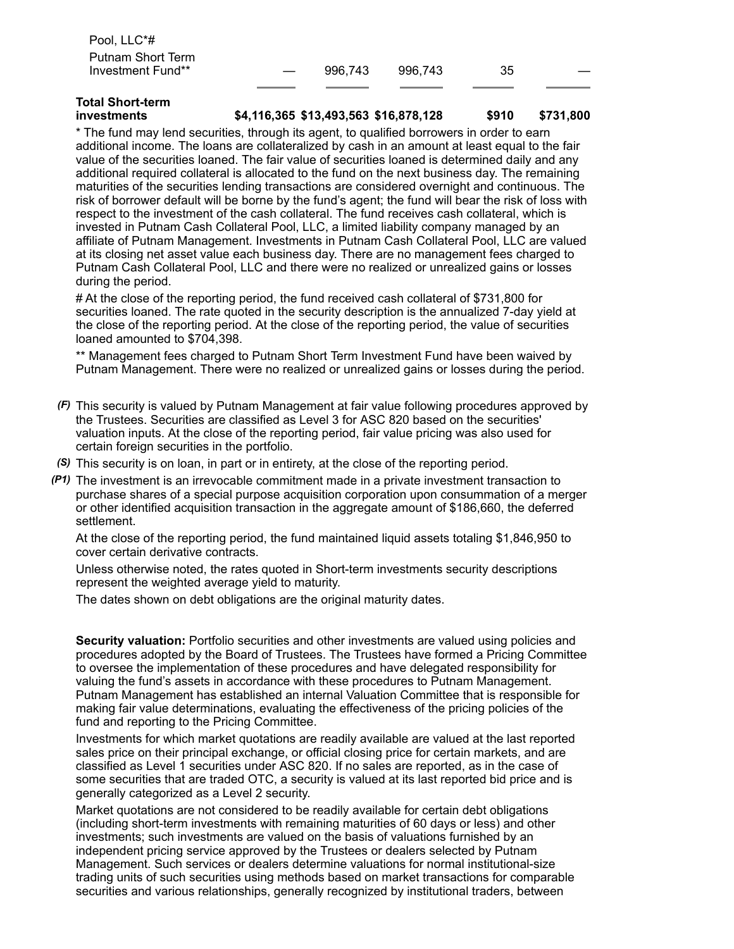| Pool, LLC*#       |                          |         |         |    |  |
|-------------------|--------------------------|---------|---------|----|--|
| Putnam Short Term |                          |         |         |    |  |
| Investment Fund** | $\overline{\phantom{a}}$ | 996.743 | 996.743 | 35 |  |
|                   |                          |         |         |    |  |

# **Total Short-term**

#### **investments \$4,116,365 \$13,493,563 \$16,878,128 \$910 \$731,800**

\* The fund may lend securities, through its agent, to qualified borrowers in order to earn additional income. The loans are collateralized by cash in an amount at least equal to the fair value of the securities loaned. The fair value of securities loaned is determined daily and any additional required collateral is allocated to the fund on the next business day. The remaining maturities of the securities lending transactions are considered overnight and continuous. The risk of borrower default will be borne by the fund's agent; the fund will bear the risk of loss with respect to the investment of the cash collateral. The fund receives cash collateral, which is invested in Putnam Cash Collateral Pool, LLC, a limited liability company managed by an affiliate of Putnam Management. Investments in Putnam Cash Collateral Pool, LLC are valued at its closing net asset value each business day. There are no management fees charged to Putnam Cash Collateral Pool, LLC and there were no realized or unrealized gains or losses during the period.

# At the close of the reporting period, the fund received cash collateral of \$731,800 for securities loaned. The rate quoted in the security description is the annualized 7-day yield at the close of the reporting period. At the close of the reporting period, the value of securities loaned amounted to \$704,398.

\*\* Management fees charged to Putnam Short Term Investment Fund have been waived by Putnam Management. There were no realized or unrealized gains or losses during the period.

- *(F)* This security is valued by Putnam Management at fair value following procedures approved by the Trustees. Securities are classified as Level 3 for ASC 820 based on the securities' valuation inputs. At the close of the reporting period, fair value pricing was also used for certain foreign securities in the portfolio.
- *(S)* This security is on loan, in part or in entirety, at the close of the reporting period.
- *(P1)* The investment is an irrevocable commitment made in a private investment transaction to purchase shares of a special purpose acquisition corporation upon consummation of a merger or other identified acquisition transaction in the aggregate amount of \$186,660, the deferred settlement.

At the close of the reporting period, the fund maintained liquid assets totaling \$1,846,950 to cover certain derivative contracts.

Unless otherwise noted, the rates quoted in Short-term investments security descriptions represent the weighted average yield to maturity.

The dates shown on debt obligations are the original maturity dates.

**Security valuation:** Portfolio securities and other investments are valued using policies and procedures adopted by the Board of Trustees. The Trustees have formed a Pricing Committee to oversee the implementation of these procedures and have delegated responsibility for valuing the fund's assets in accordance with these procedures to Putnam Management. Putnam Management has established an internal Valuation Committee that is responsible for making fair value determinations, evaluating the effectiveness of the pricing policies of the fund and reporting to the Pricing Committee.

Investments for which market quotations are readily available are valued at the last reported sales price on their principal exchange, or official closing price for certain markets, and are classified as Level 1 securities under ASC 820. If no sales are reported, as in the case of some securities that are traded OTC, a security is valued at its last reported bid price and is generally categorized as a Level 2 security.

Market quotations are not considered to be readily available for certain debt obligations (including short-term investments with remaining maturities of 60 days or less) and other investments; such investments are valued on the basis of valuations furnished by an independent pricing service approved by the Trustees or dealers selected by Putnam Management. Such services or dealers determine valuations for normal institutional-size trading units of such securities using methods based on market transactions for comparable securities and various relationships, generally recognized by institutional traders, between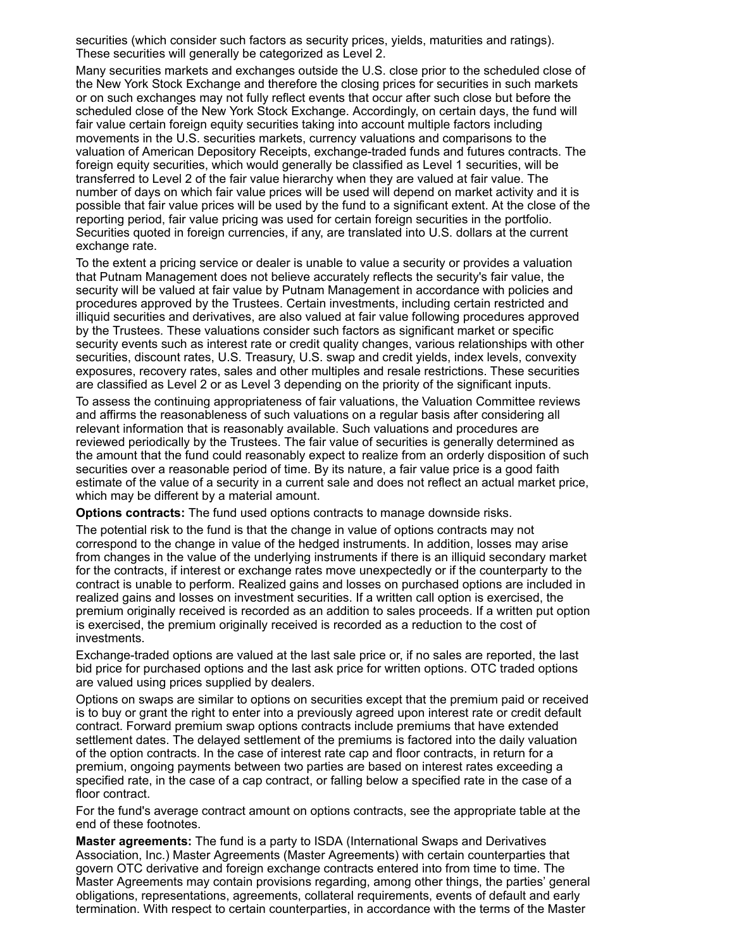securities (which consider such factors as security prices, yields, maturities and ratings). These securities will generally be categorized as Level 2.

Many securities markets and exchanges outside the U.S. close prior to the scheduled close of the New York Stock Exchange and therefore the closing prices for securities in such markets or on such exchanges may not fully reflect events that occur after such close but before the scheduled close of the New York Stock Exchange. Accordingly, on certain days, the fund will fair value certain foreign equity securities taking into account multiple factors including movements in the U.S. securities markets, currency valuations and comparisons to the valuation of American Depository Receipts, exchange-traded funds and futures contracts. The foreign equity securities, which would generally be classified as Level 1 securities, will be transferred to Level 2 of the fair value hierarchy when they are valued at fair value. The number of days on which fair value prices will be used will depend on market activity and it is possible that fair value prices will be used by the fund to a significant extent. At the close of the reporting period, fair value pricing was used for certain foreign securities in the portfolio. Securities quoted in foreign currencies, if any, are translated into U.S. dollars at the current exchange rate.

To the extent a pricing service or dealer is unable to value a security or provides a valuation that Putnam Management does not believe accurately reflects the security's fair value, the security will be valued at fair value by Putnam Management in accordance with policies and procedures approved by the Trustees. Certain investments, including certain restricted and illiquid securities and derivatives, are also valued at fair value following procedures approved by the Trustees. These valuations consider such factors as significant market or specific security events such as interest rate or credit quality changes, various relationships with other securities, discount rates, U.S. Treasury, U.S. swap and credit yields, index levels, convexity exposures, recovery rates, sales and other multiples and resale restrictions. These securities are classified as Level 2 or as Level 3 depending on the priority of the significant inputs.

To assess the continuing appropriateness of fair valuations, the Valuation Committee reviews and affirms the reasonableness of such valuations on a regular basis after considering all relevant information that is reasonably available. Such valuations and procedures are reviewed periodically by the Trustees. The fair value of securities is generally determined as the amount that the fund could reasonably expect to realize from an orderly disposition of such securities over a reasonable period of time. By its nature, a fair value price is a good faith estimate of the value of a security in a current sale and does not reflect an actual market price, which may be different by a material amount.

**Options contracts:** The fund used options contracts to manage downside risks.

The potential risk to the fund is that the change in value of options contracts may not correspond to the change in value of the hedged instruments. In addition, losses may arise from changes in the value of the underlying instruments if there is an illiquid secondary market for the contracts, if interest or exchange rates move unexpectedly or if the counterparty to the contract is unable to perform. Realized gains and losses on purchased options are included in realized gains and losses on investment securities. If a written call option is exercised, the premium originally received is recorded as an addition to sales proceeds. If a written put option is exercised, the premium originally received is recorded as a reduction to the cost of investments.

Exchange-traded options are valued at the last sale price or, if no sales are reported, the last bid price for purchased options and the last ask price for written options. OTC traded options are valued using prices supplied by dealers.

Options on swaps are similar to options on securities except that the premium paid or received is to buy or grant the right to enter into a previously agreed upon interest rate or credit default contract. Forward premium swap options contracts include premiums that have extended settlement dates. The delayed settlement of the premiums is factored into the daily valuation of the option contracts. In the case of interest rate cap and floor contracts, in return for a premium, ongoing payments between two parties are based on interest rates exceeding a specified rate, in the case of a cap contract, or falling below a specified rate in the case of a floor contract.

For the fund's average contract amount on options contracts, see the appropriate table at the end of these footnotes.

**Master agreements:** The fund is a party to ISDA (International Swaps and Derivatives Association, Inc.) Master Agreements (Master Agreements) with certain counterparties that govern OTC derivative and foreign exchange contracts entered into from time to time. The Master Agreements may contain provisions regarding, among other things, the parties' general obligations, representations, agreements, collateral requirements, events of default and early termination. With respect to certain counterparties, in accordance with the terms of the Master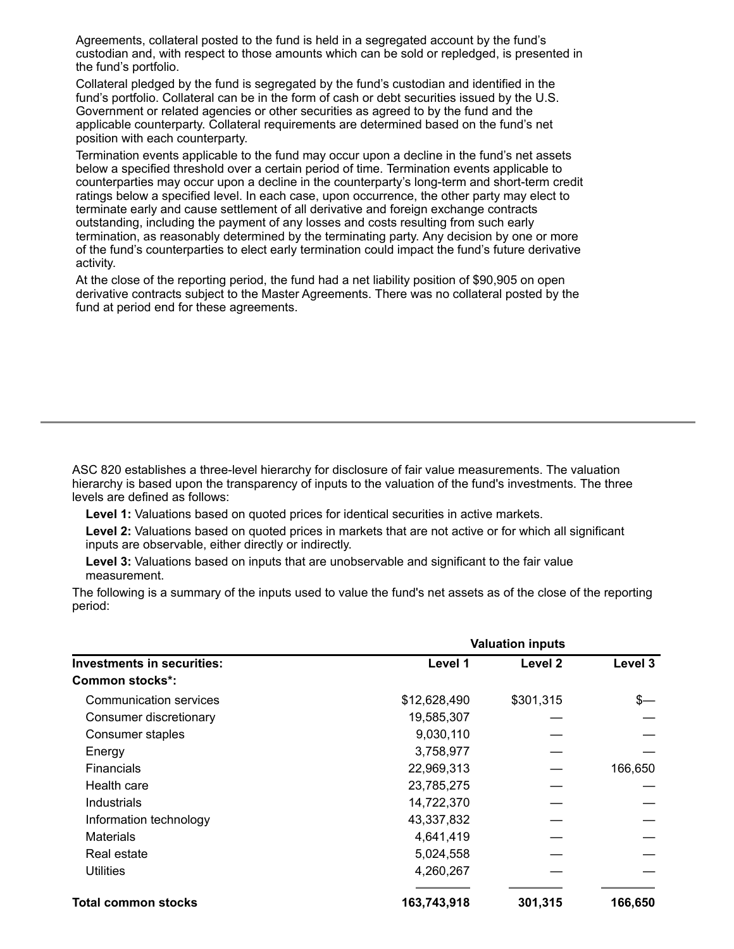Agreements, collateral posted to the fund is held in a segregated account by the fund's custodian and, with respect to those amounts which can be sold or repledged, is presented in the fund's portfolio.

Collateral pledged by the fund is segregated by the fund's custodian and identified in the fund's portfolio. Collateral can be in the form of cash or debt securities issued by the U.S. Government or related agencies or other securities as agreed to by the fund and the applicable counterparty. Collateral requirements are determined based on the fund's net position with each counterparty.

Termination events applicable to the fund may occur upon a decline in the fund's net assets below a specified threshold over a certain period of time. Termination events applicable to counterparties may occur upon a decline in the counterparty's long-term and short-term credit ratings below a specified level. In each case, upon occurrence, the other party may elect to terminate early and cause settlement of all derivative and foreign exchange contracts outstanding, including the payment of any losses and costs resulting from such early termination, as reasonably determined by the terminating party. Any decision by one or more of the fund's counterparties to elect early termination could impact the fund's future derivative activity.

At the close of the reporting period, the fund had a net liability position of \$90,905 on open derivative contracts subject to the Master Agreements. There was no collateral posted by the fund at period end for these agreements.

ASC 820 establishes a three-level hierarchy for disclosure of fair value measurements. The valuation hierarchy is based upon the transparency of inputs to the valuation of the fund's investments. The three levels are defined as follows:

**Level 1:** Valuations based on quoted prices for identical securities in active markets.

**Level 2:** Valuations based on quoted prices in markets that are not active or for which all significant inputs are observable, either directly or indirectly.

**Level 3:** Valuations based on inputs that are unobservable and significant to the fair value measurement.

The following is a summary of the inputs used to value the fund's net assets as of the close of the reporting period:

|                                   | <b>Valuation inputs</b> |           |         |  |  |
|-----------------------------------|-------------------------|-----------|---------|--|--|
| <b>Investments in securities:</b> | Level 1                 | Level 2   | Level 3 |  |  |
| Common stocks*:                   |                         |           |         |  |  |
| Communication services            | \$12,628,490            | \$301,315 | \$—     |  |  |
| Consumer discretionary            | 19,585,307              |           |         |  |  |
| Consumer staples                  | 9,030,110               |           |         |  |  |
| Energy                            | 3,758,977               |           |         |  |  |
| <b>Financials</b>                 | 22,969,313              |           | 166,650 |  |  |
| Health care                       | 23,785,275              |           |         |  |  |
| Industrials                       | 14,722,370              |           |         |  |  |
| Information technology            | 43,337,832              |           |         |  |  |
| <b>Materials</b>                  | 4,641,419               |           |         |  |  |
| Real estate                       | 5,024,558               |           |         |  |  |
| <b>Utilities</b>                  | 4,260,267               |           |         |  |  |
| <b>Total common stocks</b>        | 163,743,918             | 301,315   | 166,650 |  |  |